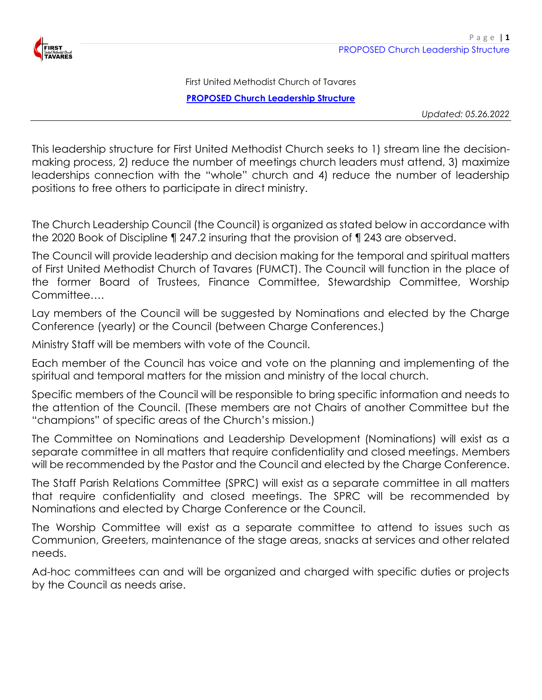

First United Methodist Church of Tavares **PROPOSED Church Leadership Structure**

*Updated: 05.26.2022*

This leadership structure for First United Methodist Church seeks to 1) stream line the decisionmaking process, 2) reduce the number of meetings church leaders must attend, 3) maximize leaderships connection with the "whole" church and 4) reduce the number of leadership positions to free others to participate in direct ministry.

The Church Leadership Council (the Council) is organized as stated below in accordance with the 2020 Book of Discipline ¶ 247.2 insuring that the provision of ¶ 243 are observed.

The Council will provide leadership and decision making for the temporal and spiritual matters of First United Methodist Church of Tavares (FUMCT). The Council will function in the place of the former Board of Trustees, Finance Committee, Stewardship Committee, Worship Committee….

Lay members of the Council will be suggested by Nominations and elected by the Charge Conference (yearly) or the Council (between Charge Conferences.)

Ministry Staff will be members with vote of the Council.

Each member of the Council has voice and vote on the planning and implementing of the spiritual and temporal matters for the mission and ministry of the local church.

Specific members of the Council will be responsible to bring specific information and needs to the attention of the Council. (These members are not Chairs of another Committee but the "champions" of specific areas of the Church's mission.)

The Committee on Nominations and Leadership Development (Nominations) will exist as a separate committee in all matters that require confidentiality and closed meetings. Members will be recommended by the Pastor and the Council and elected by the Charge Conference.

The Staff Parish Relations Committee (SPRC) will exist as a separate committee in all matters that require confidentiality and closed meetings. The SPRC will be recommended by Nominations and elected by Charge Conference or the Council.

The Worship Committee will exist as a separate committee to attend to issues such as Communion, Greeters, maintenance of the stage areas, snacks at services and other related needs.

Ad-hoc committees can and will be organized and charged with specific duties or projects by the Council as needs arise.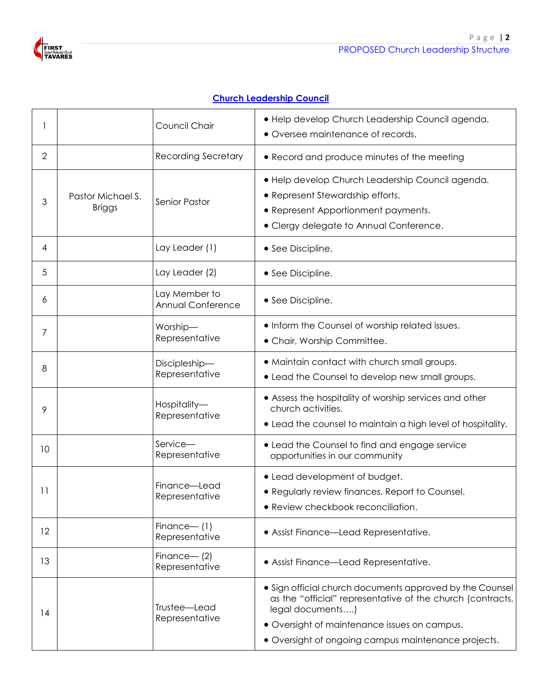

## **Church Leadership Council**

|                                         |  | Council Chair                      | · Help develop Church Leadership Council agenda.<br>• Oversee maintenance of records.                                                                                                                                                             |
|-----------------------------------------|--|------------------------------------|---------------------------------------------------------------------------------------------------------------------------------------------------------------------------------------------------------------------------------------------------|
| $\overline{2}$                          |  | <b>Recording Secretary</b>         | • Record and produce minutes of the meeting                                                                                                                                                                                                       |
| Pastor Michael S.<br>3<br><b>Briggs</b> |  | <b>Senior Pastor</b>               | · Help develop Church Leadership Council agenda.<br>• Represent Stewardship efforts.<br>• Represent Apportionment payments.<br>• Clergy delegate to Annual Conference.                                                                            |
| 4                                       |  | Lay Leader (1)                     | • See Discipline.                                                                                                                                                                                                                                 |
| 5                                       |  | Lay Leader (2)                     | • See Discipline.                                                                                                                                                                                                                                 |
| 6                                       |  | Lay Member to<br>Annual Conference | • See Discipline.                                                                                                                                                                                                                                 |
| 7                                       |  | Worship-<br>Representative         | • Inform the Counsel of worship related issues.<br>• Chair, Worship Committee.                                                                                                                                                                    |
| 8                                       |  | Discipleship-<br>Representative    | • Maintain contact with church small groups.<br>• Lead the Counsel to develop new small groups.                                                                                                                                                   |
| 9                                       |  | Hospitality-<br>Representative     | • Assess the hospitality of worship services and other<br>church activities.<br>• Lead the counsel to maintain a high level of hospitality.                                                                                                       |
| 10                                      |  | Service-<br>Representative         | • Lead the Counsel to find and engage service<br>opportunities in our community                                                                                                                                                                   |
| 11                                      |  | Finance-Lead<br>Representative     | • Lead development of budget.<br>• Regularly review finances. Report to Counsel.<br>• Review checkbook reconciliation.                                                                                                                            |
| 12                                      |  | $Finance - (1)$<br>Representative  | • Assist Finance-Lead Representative.                                                                                                                                                                                                             |
| 13                                      |  | Finance- $(2)$<br>Representative   | • Assist Finance-Lead Representative.                                                                                                                                                                                                             |
| 14                                      |  | Trustee-Lead<br>Representative     | • Sign official church documents approved by the Counsel<br>as the "official" representative of the church (contracts,<br>legal documents)<br>• Oversight of maintenance issues on campus.<br>• Oversight of ongoing campus maintenance projects. |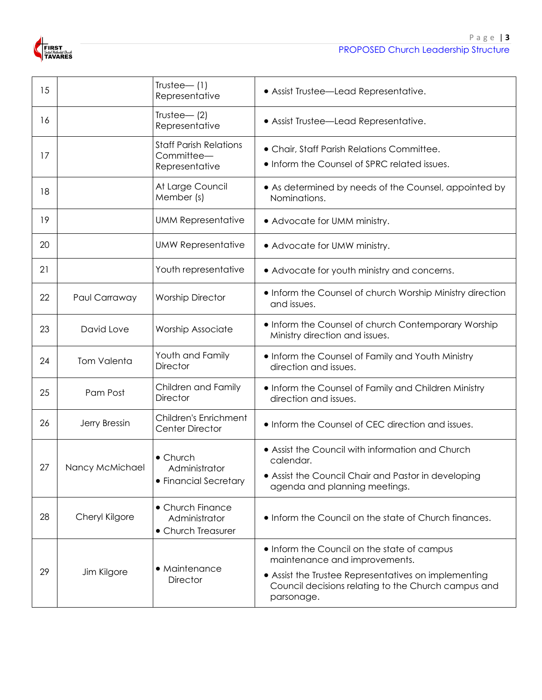

| 15 |                    | $Trustee$ (1)<br>Representative                               | • Assist Trustee-Lead Representative.                                                                                                                                                                     |
|----|--------------------|---------------------------------------------------------------|-----------------------------------------------------------------------------------------------------------------------------------------------------------------------------------------------------------|
| 16 |                    | Trustee- $(2)$<br>Representative                              | • Assist Trustee-Lead Representative.                                                                                                                                                                     |
| 17 |                    | <b>Staff Parish Relations</b><br>Committee-<br>Representative | • Chair, Staff Parish Relations Committee.<br>• Inform the Counsel of SPRC related issues.                                                                                                                |
| 18 |                    | At Large Council<br>Member (s)                                | • As determined by needs of the Counsel, appointed by<br>Nominations.                                                                                                                                     |
| 19 |                    | <b>UMM Representative</b>                                     | • Advocate for UMM ministry.                                                                                                                                                                              |
| 20 |                    | <b>UMW Representative</b>                                     | • Advocate for UMW ministry.                                                                                                                                                                              |
| 21 |                    | Youth representative                                          | • Advocate for youth ministry and concerns.                                                                                                                                                               |
| 22 | Paul Carraway      | <b>Worship Director</b>                                       | • Inform the Counsel of church Worship Ministry direction<br>and issues.                                                                                                                                  |
| 23 | David Love         | <b>Worship Associate</b>                                      | • Inform the Counsel of church Contemporary Worship<br>Ministry direction and issues.                                                                                                                     |
| 24 | <b>Tom Valenta</b> | Youth and Family<br><b>Director</b>                           | . Inform the Counsel of Family and Youth Ministry<br>direction and issues.                                                                                                                                |
| 25 | Pam Post           | Children and Family<br><b>Director</b>                        | • Inform the Counsel of Family and Children Ministry<br>direction and issues.                                                                                                                             |
| 26 | Jerry Bressin      | Children's Enrichment<br><b>Center Director</b>               | • Inform the Counsel of CEC direction and issues.                                                                                                                                                         |
| 27 | Nancy McMichael    | $\bullet$ Church<br>Administrator<br>• Financial Secretary    | • Assist the Council with information and Church<br>calendar.<br>• Assist the Council Chair and Pastor in developing<br>agenda and planning meetings.                                                     |
| 28 | Cheryl Kilgore     | • Church Finance<br>Administrator<br>• Church Treasurer       | • Inform the Council on the state of Church finances.                                                                                                                                                     |
| 29 | Jim Kilgore        | • Maintenance<br><b>Director</b>                              | • Inform the Council on the state of campus<br>maintenance and improvements.<br>• Assist the Trustee Representatives on implementing<br>Council decisions relating to the Church campus and<br>parsonage. |